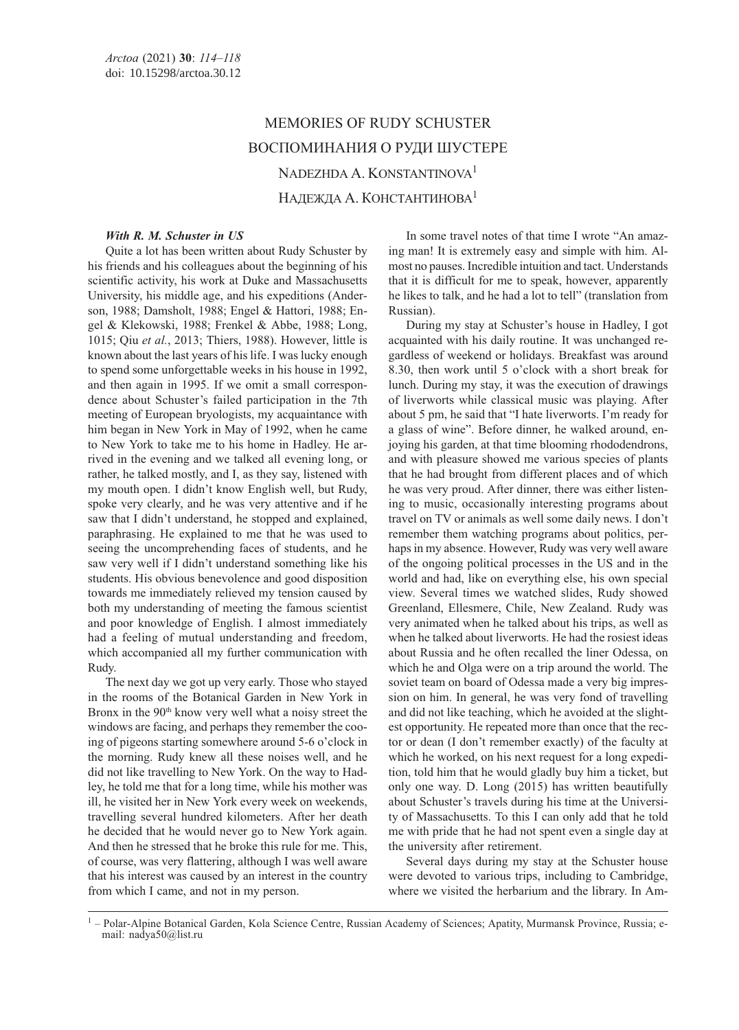# MEMORIES OF RUDY SCHUSTER ВОСПОМИНАНИЯ О РУДИ ШУСТЕРЕ NADEZHDA A. KONSTANTINOVA<sup>1</sup> НАДЕЖДА А. КОНСТАНТИНОВА<sup>1</sup>

## With R. M. Schuster in US

Quite a lot has been written about Rudy Schuster by his friends and his colleagues about the beginning of his scientific activity, his work at Duke and Massachusetts University, his middle age, and his expeditions (Anderson, 1988; Damsholt, 1988; Engel & Hattori, 1988; Engel & Klekowski, 1988; Frenkel & Abbe, 1988; Long, 1015; Qiu et al., 2013; Thiers, 1988). However, little is known about the last years of his life. I was lucky enough to spend some unforgettable weeks in his house in 1992, and then again in 1995. If we omit a small correspondence about Schuster's failed participation in the 7th meeting of European bryologists, my acquaintance with him began in New York in May of 1992, when he came to New York to take me to his home in Hadley. He arrived in the evening and we talked all evening long, or rather, he talked mostly, and I, as they say, listened with my mouth open. I didn't know English well, but Rudy, spoke very clearly, and he was very attentive and if he saw that I didn't understand, he stopped and explained, paraphrasing. He explained to me that he was used to seeing the uncomprehending faces of students, and he saw very well if I didn't understand something like his students. His obvious benevolence and good disposition towards me immediately relieved my tension caused by both my understanding of meeting the famous scientist and poor knowledge of English. I almost immediately had a feeling of mutual understanding and freedom, which accompanied all my further communication with Rudy.

The next day we got up very early. Those who stayed in the rooms of the Botanical Garden in New York in Bronx in the 90<sup>th</sup> know very well what a noisy street the windows are facing, and perhaps they remember the cooing of pigeons starting somewhere around 5-6 o'clock in the morning. Rudy knew all these noises well, and he did not like travelling to New York. On the way to Hadley, he told me that for a long time, while his mother was ill, he visited her in New York every week on weekends, travelling several hundred kilometers. After her death he decided that he would never go to New York again. And then he stressed that he broke this rule for me. This, of course, was very flattering, although I was well aware that his interest was caused by an interest in the country from which I came, and not in my person.

In some travel notes of that time I wrote "An amazing man! It is extremely easy and simple with him. Almost no pauses. Incredible intuition and tact. Understands that it is difficult for me to speak, however, apparently he likes to talk, and he had a lot to tell" (translation from Russian).

During my stay at Schuster's house in Hadley, I got acquainted with his daily routine. It was unchanged regardless of weekend or holidays. Breakfast was around 8.30, then work until 5 o'clock with a short break for lunch. During my stay, it was the execution of drawings of liverworts while classical music was playing. After about 5 pm, he said that "I hate liverworts. I'm ready for a glass of wine". Before dinner, he walked around, enjoying his garden, at that time blooming rhododendrons, and with pleasure showed me various species of plants that he had brought from different places and of which he was very proud. After dinner, there was either listening to music, occasionally interesting programs about travel on TV or animals as well some daily news. I don't remember them watching programs about politics, perhaps in my absence. However, Rudy was very well aware of the ongoing political processes in the US and in the world and had, like on everything else, his own special view. Several times we watched slides, Rudy showed Greenland, Ellesmere, Chile, New Zealand. Rudy was very animated when he talked about his trips, as well as when he talked about liverworts. He had the rosiest ideas about Russia and he often recalled the liner Odessa, on which he and Olga were on a trip around the world. The soviet team on board of Odessa made a very big impression on him. In general, he was very fond of travelling and did not like teaching, which he avoided at the slightest opportunity. He repeated more than once that the rector or dean (I don't remember exactly) of the faculty at which he worked, on his next request for a long expedition, told him that he would gladly buy him a ticket, but only one way. D. Long (2015) has written beautifully about Schuster's travels during his time at the University of Massachusetts. To this I can only add that he told me with pride that he had not spent even a single day at the university after retirement.

Several days during my stay at the Schuster house were devoted to various trips, including to Cambridge, where we visited the herbarium and the library. In Am-

<sup>&</sup>lt;sup>1</sup> – Polar-Alpine Botanical Garden, Kola Science Centre, Russian Academy of Sciences; Apatity, Murmansk Province, Russia; email: nadya50@list.ru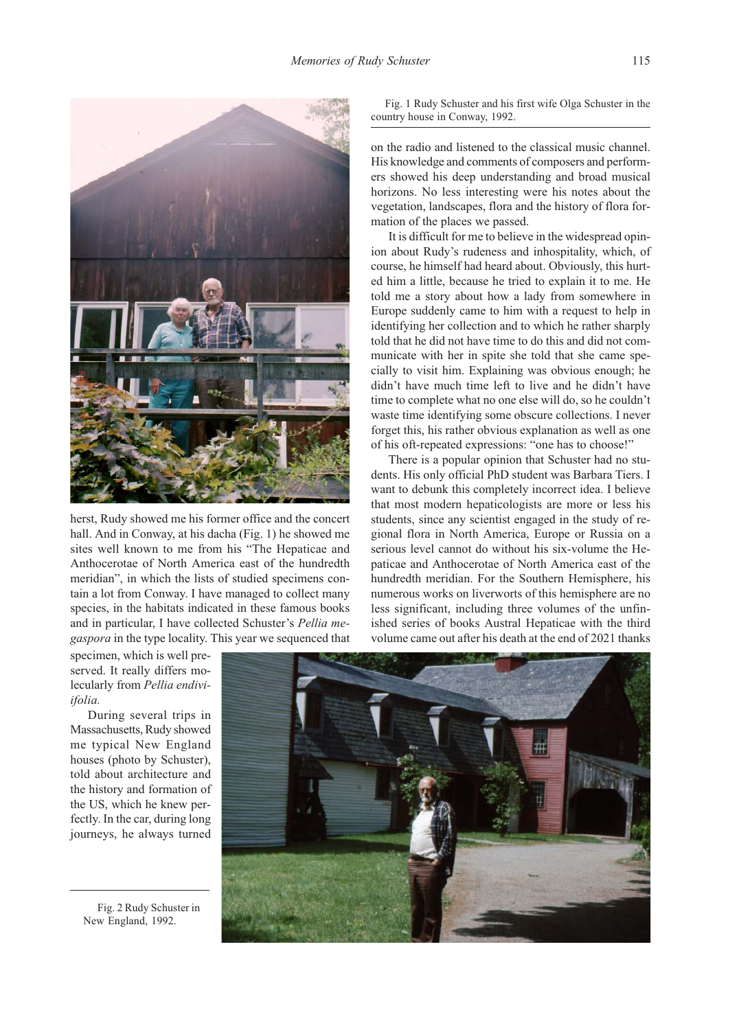

herst, Rudy showed me his former office and the concert hall. And in Conway, at his dacha (Fig. 1) he showed me sites well known to me from his "The Hepaticae and Anthocerotae of North America east of the hundredth meridian", in which the lists of studied specimens contain a lot from Conway. I have managed to collect many species, in the habitats indicated in these famous books and in particular, I have collected Schuster's Pellia megaspora in the type locality. This year we sequenced that

Fig. 1 Rudy Schuster and his first wife Olga Schuster in the country house in Conway, 1992.

on the radio and listened to the classical music channel. His knowledge and comments of composers and performers showed his deep understanding and broad musical horizons. No less interesting were his notes about the vegetation, landscapes, flora and the history of flora formation of the places we passed.

It is difficult for me to believe in the widespread opinion about Rudy's rudeness and inhospitality, which, of course, he himself had heard about. Obviously, this hurted him a little, because he tried to explain it to me. He told me a story about how a lady from somewhere in Europe suddenly came to him with a request to help in identifying her collection and to which he rather sharply told that he did not have time to do this and did not communicate with her in spite she told that she came specially to visit him. Explaining was obvious enough; he didn't have much time left to live and he didn't have time to complete what no one else will do, so he couldn't waste time identifying some obscure collections. I never forget this, his rather obvious explanation as well as one of his oft-repeated expressions: "one has to choose!"

There is a popular opinion that Schuster had no students. His only official PhD student was Barbara Tiers. I want to debunk this completely incorrect idea. I believe that most modern hepaticologists are more or less his students, since any scientist engaged in the study of regional flora in North America, Europe or Russia on a serious level cannot do without his six-volume the Hepaticae and Anthocerotae of North America east of the hundredth meridian. For the Southern Hemisphere, his numerous works on liverworts of this hemisphere are no less significant, including three volumes of the unfinished series of books Austral Hepaticae with the third volume came out after his death at the end of 2021 thanks

specimen, which is well preserved. It really differs molecularly from Pellia endiviifolia.

During several trips in Massachusetts, Rudy showed me typical New England houses (photo by Schuster), told about architecture and the history and formation of the US, which he knew perfectly. In the car, during long journeys, he always turned

Fig. 2 Rudy Schuster in New England, 1992.

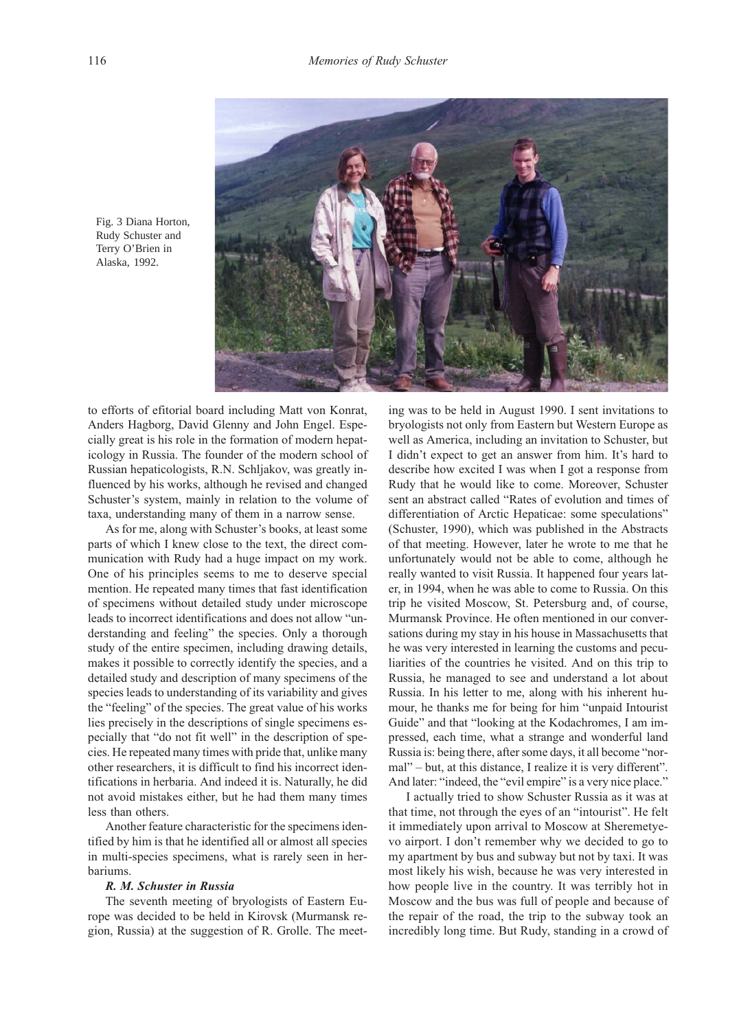

Fig. 3 Diana Horton, Rudy Schuster and Terry O'Brien in Alaska, 1992.

to efforts of efitorial board including Matt von Konrat, Anders Hagborg, David Glenny and John Engel. Especially great is his role in the formation of modern hepaticology in Russia. The founder of the modern school of Russian hepaticologists, R.N. Schljakov, was greatly influenced by his works, although he revised and changed Schuster's system, mainly in relation to the volume of taxa, understanding many of them in a narrow sense.

As for me, along with Schuster's books, at least some parts of which I knew close to the text, the direct communication with Rudy had a huge impact on my work. One of his principles seems to me to deserve special mention. He repeated many times that fast identification of specimens without detailed study under microscope leads to incorrect identifications and does not allow "understanding and feeling" the species. Only a thorough study of the entire specimen, including drawing details, makes it possible to correctly identify the species, and a detailed study and description of many specimens of the species leads to understanding of its variability and gives the "feeling" of the species. The great value of his works lies precisely in the descriptions of single specimens especially that "do not fit well" in the description of species. He repeated many times with pride that, unlike many other researchers, it is difficult to find his incorrect identifications in herbaria. And indeed it is. Naturally, he did not avoid mistakes either, but he had them many times less than others.

Another feature characteristic for the specimens identified by him is that he identified all or almost all species in multi-species specimens, what is rarely seen in herbariums.

### R. M. Schuster in Russia

The seventh meeting of bryologists of Eastern Europe was decided to be held in Kirovsk (Murmansk region, Russia) at the suggestion of R. Grolle. The meet-

ing was to be held in August 1990. I sent invitations to bryologists not only from Eastern but Western Europe as well as America, including an invitation to Schuster, but I didn't expect to get an answer from him. It's hard to describe how excited I was when I got a response from Rudy that he would like to come. Moreover, Schuster sent an abstract called "Rates of evolution and times of differentiation of Arctic Hepaticae: some speculations" (Schuster, 1990), which was published in the Abstracts of that meeting. However, later he wrote to me that he unfortunately would not be able to come, although he really wanted to visit Russia. It happened four years later, in 1994, when he was able to come to Russia. On this trip he visited Moscow, St. Petersburg and, of course, Murmansk Province. He often mentioned in our conversations during my stay in his house in Massachusetts that he was very interested in learning the customs and peculiarities of the countries he visited. And on this trip to Russia, he managed to see and understand a lot about Russia. In his letter to me, along with his inherent humour, he thanks me for being for him "unpaid Intourist Guide" and that "looking at the Kodachromes, I am impressed, each time, what a strange and wonderful land Russia is: being there, after some days, it all become "normal" – but, at this distance, I realize it is very different". And later: "indeed, the "evil empire" is a very nice place."

I actually tried to show Schuster Russia as it was at that time, not through the eyes of an "intourist". He felt it immediately upon arrival to Moscow at Sheremetyevo airport. I don't remember why we decided to go to my apartment by bus and subway but not by taxi. It was most likely his wish, because he was very interested in how people live in the country. It was terribly hot in Moscow and the bus was full of people and because of the repair of the road, the trip to the subway took an incredibly long time. But Rudy, standing in a crowd of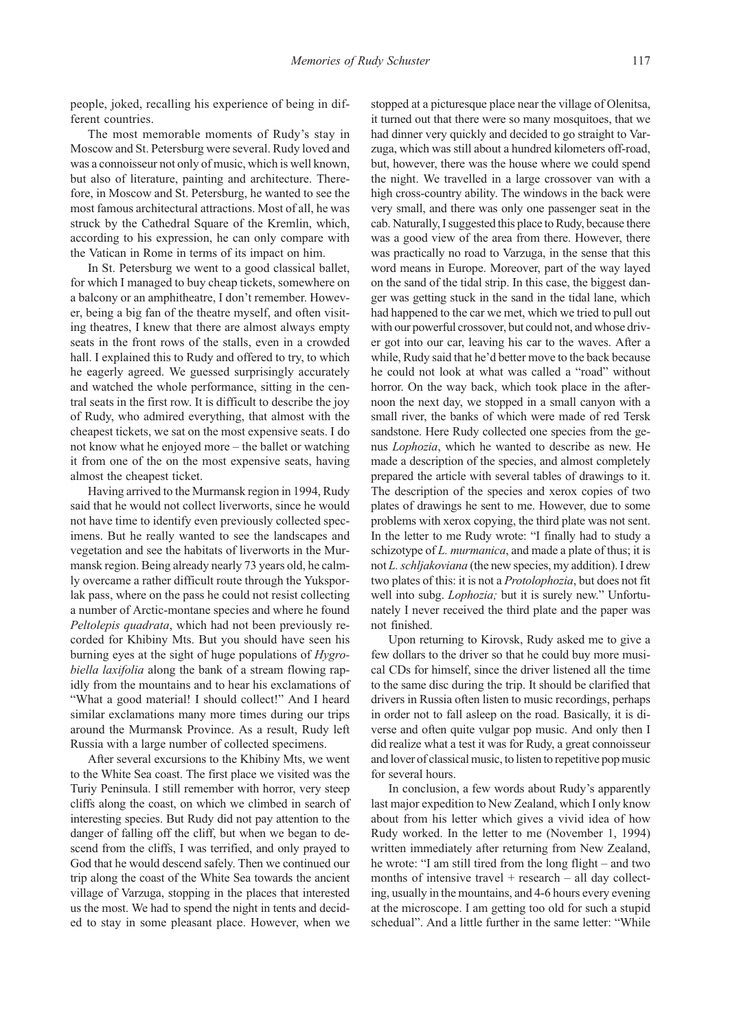people, joked, recalling his experience of being in different countries.

The most memorable moments of Rudy's stay in Moscow and St. Petersburg were several. Rudy loved and was a connoisseur not only of music, which is well known, but also of literature, painting and architecture. Therefore, in Moscow and St. Petersburg, he wanted to see the most famous architectural attractions. Most of all, he was struck by the Cathedral Square of the Kremlin, which, according to his expression, he can only compare with the Vatican in Rome in terms of its impact on him.

In St. Petersburg we went to a good classical ballet, for which I managed to buy cheap tickets, somewhere on a balcony or an amphitheatre, I don't remember. However, being a big fan of the theatre myself, and often visiting theatres, I knew that there are almost always empty seats in the front rows of the stalls, even in a crowded hall. I explained this to Rudy and offered to try, to which he eagerly agreed. We guessed surprisingly accurately and watched the whole performance, sitting in the central seats in the first row. It is difficult to describe the joy of Rudy, who admired everything, that almost with the cheapest tickets, we sat on the most expensive seats. I do not know what he enjoyed more – the ballet or watching it from one of the on the most expensive seats, having almost the cheapest ticket.

Having arrived to the Murmansk region in 1994, Rudy said that he would not collect liverworts, since he would not have time to identify even previously collected specimens. But he really wanted to see the landscapes and vegetation and see the habitats of liverworts in the Murmansk region. Being already nearly 73 years old, he calmly overcame a rather difficult route through the Yuksporlak pass, where on the pass he could not resist collecting a number of Arctic-montane species and where he found Peltolepis quadrata, which had not been previously recorded for Khibiny Mts. But you should have seen his burning eyes at the sight of huge populations of Hygrobiella laxifolia along the bank of a stream flowing rapidly from the mountains and to hear his exclamations of "What a good material! I should collect!" And I heard similar exclamations many more times during our trips around the Murmansk Province. As a result, Rudy left Russia with a large number of collected specimens.

After several excursions to the Khibiny Mts, we went to the White Sea coast. The first place we visited was the Turiy Peninsula. I still remember with horror, very steep cliffs along the coast, on which we climbed in search of interesting species. But Rudy did not pay attention to the danger of falling off the cliff, but when we began to descend from the cliffs, I was terrified, and only prayed to God that he would descend safely. Then we continued our trip along the coast of the White Sea towards the ancient village of Varzuga, stopping in the places that interested us the most. We had to spend the night in tents and decided to stay in some pleasant place. However, when we

stopped at a picturesque place near the village of Olenitsa, it turned out that there were so many mosquitoes, that we had dinner very quickly and decided to go straight to Varzuga, which was still about a hundred kilometers off-road, but, however, there was the house where we could spend the night. We travelled in a large crossover van with a high cross-country ability. The windows in the back were very small, and there was only one passenger seat in the cab. Naturally, I suggested this place to Rudy, because there was a good view of the area from there. However, there was practically no road to Varzuga, in the sense that this word means in Europe. Moreover, part of the way layed on the sand of the tidal strip. In this case, the biggest danger was getting stuck in the sand in the tidal lane, which had happened to the car we met, which we tried to pull out with our powerful crossover, but could not, and whose driver got into our car, leaving his car to the waves. After a while, Rudy said that he'd better move to the back because he could not look at what was called a "road" without horror. On the way back, which took place in the afternoon the next day, we stopped in a small canyon with a small river, the banks of which were made of red Tersk sandstone. Here Rudy collected one species from the genus Lophozia, which he wanted to describe as new. He made a description of the species, and almost completely prepared the article with several tables of drawings to it. The description of the species and xerox copies of two plates of drawings he sent to me. However, due to some problems with xerox copying, the third plate was not sent. In the letter to me Rudy wrote: "I finally had to study a schizotype of *L. murmanica*, and made a plate of thus; it is not L. schljakoviana (the new species, my addition). I drew two plates of this: it is not a Protolophozia, but does not fit well into subg. *Lophozia*; but it is surely new." Unfortunately I never received the third plate and the paper was not finished.

Upon returning to Kirovsk, Rudy asked me to give a few dollars to the driver so that he could buy more musical CDs for himself, since the driver listened all the time to the same disc during the trip. It should be clarified that drivers in Russia often listen to music recordings, perhaps in order not to fall asleep on the road. Basically, it is diverse and often quite vulgar pop music. And only then I did realize what a test it was for Rudy, a great connoisseur and lover of classical music, to listen to repetitive pop music for several hours.

In conclusion, a few words about Rudy's apparently last major expedition to New Zealand, which I only know about from his letter which gives a vivid idea of how Rudy worked. In the letter to me (November 1, 1994) written immediately after returning from New Zealand, he wrote: "I am still tired from the long flight – and two months of intensive travel  $+$  research  $-$  all day collecting, usually in the mountains, and 4-6 hours every evening at the microscope. I am getting too old for such a stupid schedual". And a little further in the same letter: "While